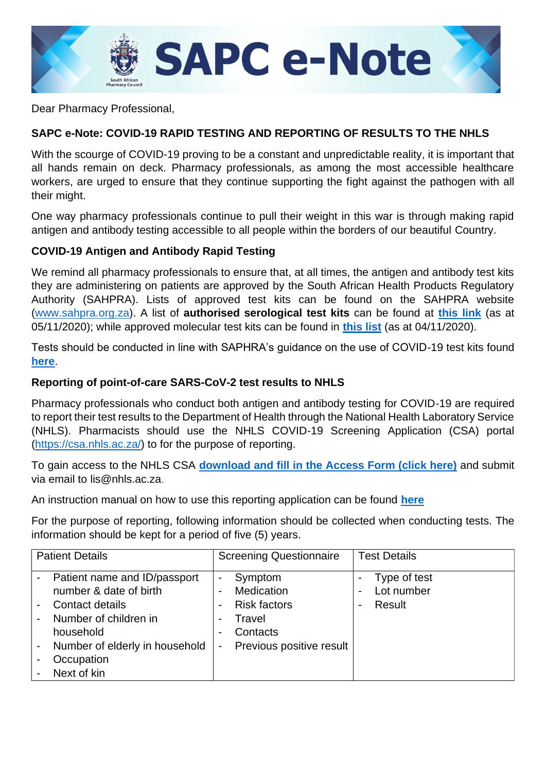

Dear Pharmacy Professional,

## **SAPC e-Note: COVID-19 RAPID TESTING AND REPORTING OF RESULTS TO THE NHLS**

With the scourge of COVID-19 proving to be a constant and unpredictable reality, it is important that all hands remain on deck. Pharmacy professionals, as among the most accessible healthcare workers, are urged to ensure that they continue supporting the fight against the pathogen with all their might.

One way pharmacy professionals continue to pull their weight in this war is through making rapid antigen and antibody testing accessible to all people within the borders of our beautiful Country.

## **COVID-19 Antigen and Antibody Rapid Testing**

We remind all pharmacy professionals to ensure that, at all times, the antigen and antibody test kits they are administering on patients are approved by the South African Health Products Regulatory Authority (SAHPRA). Lists of approved test kits can be found on the SAHPRA website [\(www.sahpra.org.za\)](http://www.sahpra.org.za/). A list of **authorised serological test kits** can be found at **[this link](http://www.sahpra.org.za/wp-content/uploads/2020/11/List-of-authorised-serological-Test-Kits-05112020.xlsx)** (as at 05/11/2020); while approved molecular test kits can be found in **[this list](http://www.sahpra.org.za/wp-content/uploads/2020/11/List-of-authorised-Molecular-Test-Kits_04112020.xlsx)** (as at 04/11/2020).

Tests should be conducted in line with SAPHRA's guidance on the use of COVID-19 test kits found **[here](https://www.sahpra.org.za/wp-content/uploads/2020/08/MD021-Use-SARS-CoV-2-Antibody-Tests-NDOH-Guidance-v1-20082020.pdf)**.

## **Reporting of point-of-care SARS-CoV-2 test results to NHLS**

Pharmacy professionals who conduct both antigen and antibody testing for COVID-19 are required to report their test results to the Department of Health through the National Health Laboratory Service (NHLS). Pharmacists should use the NHLS COVID-19 Screening Application (CSA) portal [\(https://csa.nhls.ac.za/\)](https://csa.nhls.ac.za/) to for the purpose of reporting.

To gain access to the NHLS CSA **[download and fill in the Access Form \(click here\)](https://www.nhls.ac.za/wp-content/uploads/2020/08/Access_for_CSA_v2.pdf)** and submit via email to [lis@nhls.ac.za.](mailto:lis@nhls.ac.za)

An instruction manual on how to use this reporting application can be found **[here](https://csa.nhls.ac.za/)**

For the purpose of reporting, following information should be collected when conducting tests. The information should be kept for a period of five (5) years.

| <b>Patient Details</b>                                                                                                                                                         | <b>Screening Questionnaire</b>                                                                      | <b>Test Details</b>                                    |
|--------------------------------------------------------------------------------------------------------------------------------------------------------------------------------|-----------------------------------------------------------------------------------------------------|--------------------------------------------------------|
| Patient name and ID/passport<br>number & date of birth<br>Contact details<br>Number of children in<br>household<br>Number of elderly in household<br>Occupation<br>Next of kin | Symptom<br>Medication<br><b>Risk factors</b><br>Travel<br>Contacts<br>Previous positive result<br>۰ | Type of test<br>Lot number<br>Result<br>$\blacksquare$ |